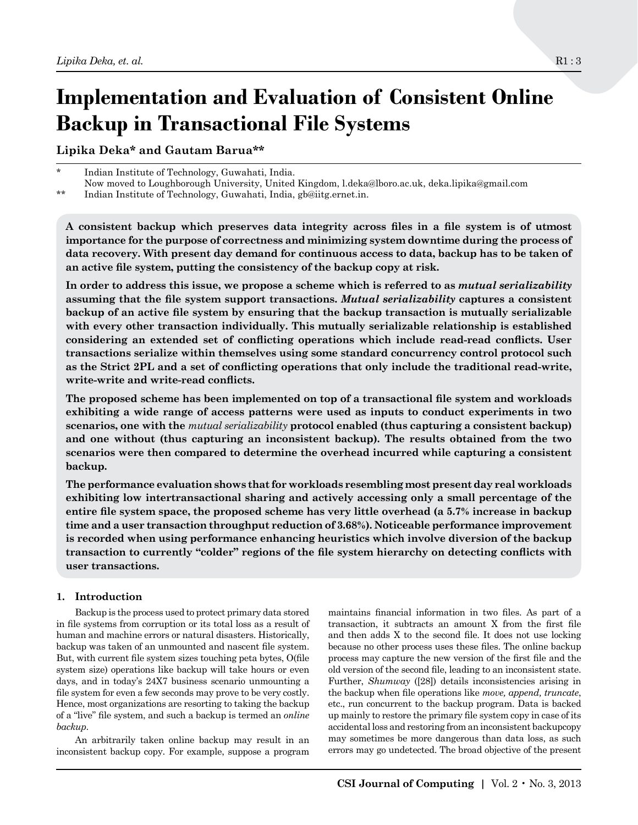# **Implementation and Evaluation of Consistent Online Backup in Transactional File Systems**

**Lipika Deka\* and Gautam Barua\*\***

Indian Institute of Technology, Guwahati, India. Now moved to Loughborough University, United Kingdom, l.deka@lboro.ac.uk, deka.lipika@gmail.com

\*\* Indian Institute of Technology, Guwahati, India, gb@iitg.ernet.in.

**A consistent backup which preserves data integrity across files in a file system is of utmost importance for the purpose of correctness and minimizing system downtime during the process of data recovery. With present day demand for continuous access to data, backup has to be taken of an active file system, putting the consistency of the backup copy at risk.**

**In order to address this issue, we propose a scheme which is referred to as** *mutual serializability* **assuming that the file system support transactions.** *Mutual serializability* **captures a consistent backup of an active file system by ensuring that the backup transaction is mutually serializable with every other transaction individually. This mutually serializable relationship is established considering an extended set of conflicting operations which include read-read conflicts. User transactions serialize within themselves using some standard concurrency control protocol such as the Strict 2PL and a set of conflicting operations that only include the traditional read-write, write-write and write-read conflicts.**

**The proposed scheme has been implemented on top of a transactional file system and workloads exhibiting a wide range of access patterns were used as inputs to conduct experiments in two scenarios, one with the** *mutual serializability* **protocol enabled (thus capturing a consistent backup) and one without (thus capturing an inconsistent backup). The results obtained from the two scenarios were then compared to determine the overhead incurred while capturing a consistent backup.** 

**The performance evaluation shows that for workloads resembling most present day real workloads exhibiting low intertransactional sharing and actively accessing only a small percentage of the entire file system space, the proposed scheme has very little overhead (a 5.7% increase in backup time and a user transaction throughput reduction of 3.68%). Noticeable performance improvement is recorded when using performance enhancing heuristics which involve diversion of the backup transaction to currently "colder" regions of the file system hierarchy on detecting conflicts with user transactions.**

# **1. Introduction**

Backup is the process used to protect primary data stored in file systems from corruption or its total loss as a result of human and machine errors or natural disasters. Historically, backup was taken of an unmounted and nascent file system. But, with current file system sizes touching peta bytes, O(file system size) operations like backup will take hours or even days, and in today's 24X7 business scenario unmounting a file system for even a few seconds may prove to be very costly. Hence, most organizations are resorting to taking the backup of a "live" file system, and such a backup is termed an *online backup*.

An arbitrarily taken online backup may result in an inconsistent backup copy. For example, suppose a program

maintains financial information in two files. As part of a transaction, it subtracts an amount X from the first file and then adds X to the second file. It does not use locking because no other process uses these files. The online backup process may capture the new version of the first file and the old version of the second file, leading to an inconsistent state. Further, *Shumway* ([28]) details inconsistencies arising in the backup when file operations like *move, append, truncate*, etc., run concurrent to the backup program. Data is backed up mainly to restore the primary file system copy in case of its accidental loss and restoring from an inconsistent backupcopy may sometimes be more dangerous than data loss, as such errors may go undetected. The broad objective of the present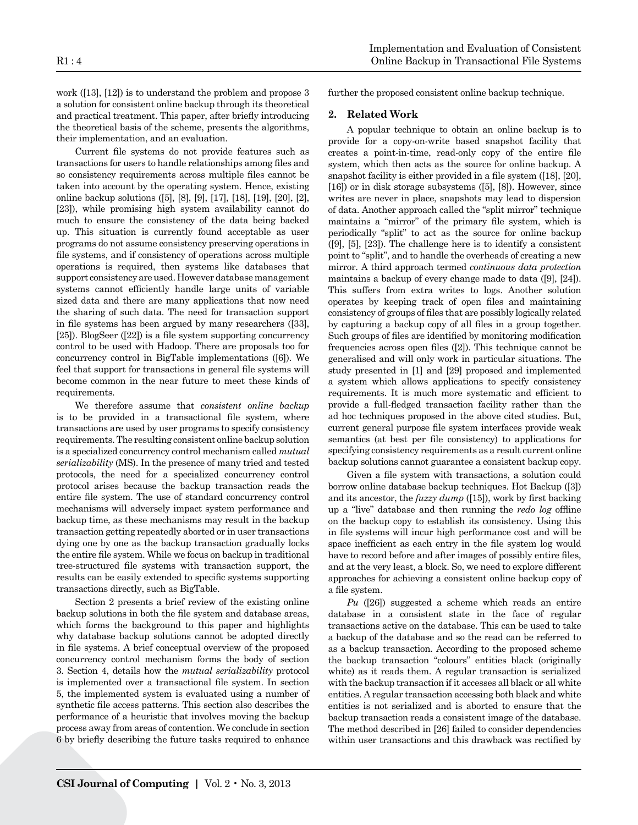work ([13], [12]) is to understand the problem and propose 3 a solution for consistent online backup through its theoretical and practical treatment. This paper, after briefly introducing the theoretical basis of the scheme, presents the algorithms, their implementation, and an evaluation.

Current file systems do not provide features such as transactions for users to handle relationships among files and so consistency requirements across multiple files cannot be taken into account by the operating system. Hence, existing online backup solutions ([5], [8], [9], [17], [18], [19], [20], [2], [23]), while promising high system availability cannot do much to ensure the consistency of the data being backed up. This situation is currently found acceptable as user programs do not assume consistency preserving operations in file systems, and if consistency of operations across multiple operations is required, then systems like databases that support consistency areused. However database management systems cannot efficiently handle large units of variable sized data and there are many applications that now need the sharing of such data. The need for transaction support in file systems has been argued by many researchers ([33], [25]). BlogSeer ([22]) is a file system supporting concurrency control to be used with Hadoop. There are proposals too for concurrency control in BigTable implementations ([6]). We feel that support for transactions in general file systems will become common in the near future to meet these kinds of requirements.

We therefore assume that *consistent online backup*  is to be provided in a transactional file system, where transactions are used by user programs to specify consistency requirements.The resulting consistent online backup solution is a specialized concurrency control mechanism called *mutual serializability* (MS). In the presence of many tried and tested protocols, the need for a specialized concurrency control protocol arises because the backup transaction reads the entire file system. The use of standard concurrency control mechanisms will adversely impact system performance and backup time, as these mechanisms may result in the backup transaction getting repeatedly aborted or in user transactions dying one by one as the backup transaction gradually locks the entire file system. While we focus on backup in traditional tree-structured file systems with transaction support, the results can be easily extended to specific systems supporting transactions directly, such as BigTable.

Section 2 presents a brief review of the existing online backup solutions in both the file system and database areas, which forms the background to this paper and highlights why database backup solutions cannot be adopted directly in file systems. A brief conceptual overview of the proposed concurrency control mechanism forms the body of section 3. Section 4, details how the *mutual serializability* protocol is implemented over a transactional file system. In section 5, the implemented system is evaluated using a number of synthetic file access patterns. This section also describes the performance of a heuristic that involves moving the backup process away from areas of contention. We conclude in section 6 by briefly describing the future tasks required to enhance further the proposed consistent online backup technique.

# **2. Related Work**

A popular technique to obtain an online backup is to provide for a copy-on-write based snapshot facility that creates a point-in-time, read-only copy of the entire file system, which then acts as the source for online backup. A snapshot facility is either provided in a file system ([18], [20], [16]) or in disk storage subsystems ([5], [8]). However, since writes are never in place, snapshots may lead to dispersion of data. Another approach called the "split mirror" technique maintains a "mirror" of the primary file system, which is periodically "split" to act as the source for online backup ([9], [5], [23]). The challenge here is to identify a consistent point to "split", and to handle the overheads of creating a new mirror. A third approach termed *continuous data protection*  maintains a backup of every change made to data ([9], [24]). This suffers from extra writes to logs. Another solution operates by keeping track of open files and maintaining consistency of groups of files that are possibly logically related by capturing a backup copy of all files in a group together. Such groups of files are identified by monitoring modification frequencies across open files ([2]). This technique cannot be generalised and will only work in particular situations. The study presented in [1] and [29] proposed and implemented a system which allows applications to specify consistency requirements. It is much more systematic and efficient to provide a full-fledged transaction facility rather than the ad hoc techniques proposed in the above cited studies. But, current general purpose file system interfaces provide weak semantics (at best per file consistency) to applications for specifying consistency requirements as a result current online backup solutions cannot guarantee a consistent backup copy.

Given a file system with transactions, a solution could borrow online database backup techniques. Hot Backup ([3]) and its ancestor, the *fuzzy dump* ([15]), work by first backing up a "live" database and then running the *redo log* offline on the backup copy to establish its consistency. Using this in file systems will incur high performance cost and will be space inefficient as each entry in the file system log would have to record before and after images of possibly entire files, and at the very least, a block. So, we need to explore different approaches for achieving a consistent online backup copy of a file system.

*Pu* ([26]) suggested a scheme which reads an entire database in a consistent state in the face of regular transactions active on the database. This can be used to take a backup of the database and so the read can be referred to as a backup transaction. According to the proposed scheme the backup transaction "colours" entities black (originally white) as it reads them. A regular transaction is serialized with the backup transaction if it accesses all black or all white entities. A regular transaction accessing both black and white entities is not serialized and is aborted to ensure that the backup transaction reads a consistent image of the database. The method described in [26] failed to consider dependencies within user transactions and this drawback was rectified by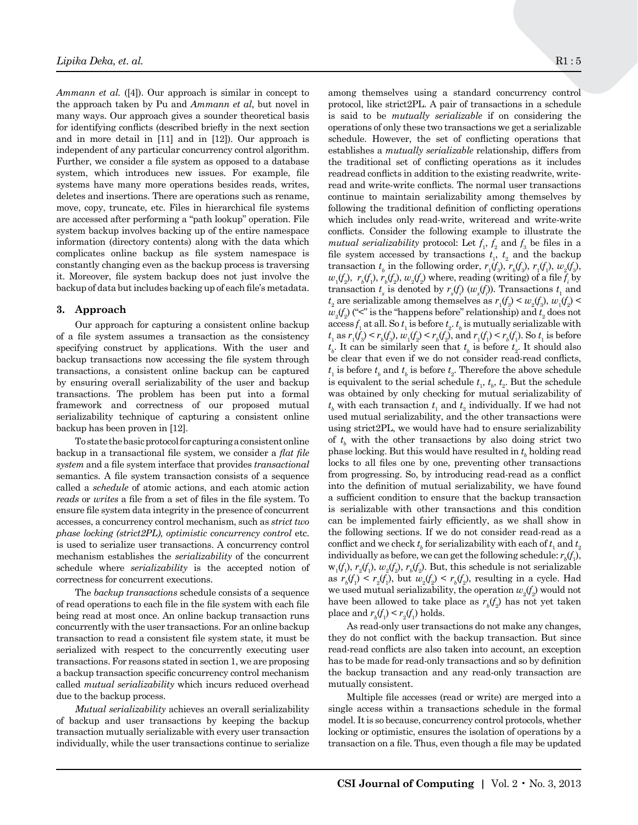*Ammann et al.* ([4]). Our approach is similar in concept to the approach taken by Pu and *Ammann et al*, but novel in many ways. Our approach gives a sounder theoretical basis for identifying conflicts (described briefly in the next section and in more detail in [11] and in [12]). Our approach is independent of any particular concurrency control algorithm. Further, we consider a file system as opposed to a database system, which introduces new issues. For example, file systems have many more operations besides reads, writes, deletes and insertions. There are operations such as rename, move, copy, truncate, etc. Files in hierarchical file systems are accessed after performing a "path lookup" operation. File system backup involves backing up of the entire namespace information (directory contents) along with the data which complicates online backup as file system namespace is constantly changing even as the backup process is traversing it. Moreover, file system backup does not just involve the backup of data but includes backing up of each file's metadata.

#### **3. Approach**

Our approach for capturing a consistent online backup of a file system assumes a transaction as the consistency specifying construct by applications. With the user and backup transactions now accessing the file system through transactions, a consistent online backup can be captured by ensuring overall serializability of the user and backup transactions. The problem has been put into a formal framework and correctness of our proposed mutual serializability technique of capturing a consistent online backup has been proven in [12].

To state the basic protocol for capturing aconsistent online backup in a transactional file system, we consider a *flat file system* and a file system interface that provides *transactional*  semantics. A file system transaction consists of a sequence called a *schedule* of atomic actions, and each atomic action *reads* or *writes* a file from a set of files in the file system. To ensure file system data integrity in the presence of concurrent accesses, a concurrency control mechanism, such as *strict two phase locking (strict2PL), optimistic concurrency control etc.* is used to serialize user transactions. A concurrency control mechanism establishes the *serializability* of the concurrent schedule where *serializability* is the accepted notion of correctness for concurrent executions.

The *backup transactions* schedule consists of a sequence of read operations to each file in the file system with each file being read at most once. An online backup transaction runs concurrently with the user transactions. For an online backup transaction to read a consistent file system state, it must be serialized with respect to the concurrently executing user transactions. For reasons stated in section 1, we are proposing a backup transaction specific concurrency control mechanism called *mutual serializability* which incurs reduced overhead due to the backup process.

*Mutual serializability* achieves an overall serializability of backup and user transactions by keeping the backup transaction mutually serializable with every user transaction individually, while the user transactions continue to serialize among themselves using a standard concurrency control protocol, like strict2PL. A pair of transactions in a schedule is said to be *mutually serializable* if on considering the operations of only these two transactions we get a serializable schedule. However, the set of conflicting operations that establishes a *mutually serializable* relationship, differs from the traditional set of conflicting operations as it includes readread conflicts in addition to the existing readwrite, writeread and write-write conflicts. The normal user transactions continue to maintain serializability among themselves by following the traditional definition of conflicting operations which includes only read-write, writeread and write-write conflicts. Consider the following example to illustrate the *mutual serializability* protocol: Let  $f_1$ ,  $f_2$  and  $f_3$  be files in a file system accessed by transactions  $t_1$ ,  $t_2$  and the backup transaction  $t_b$  in the following order,  $r_1(f_3)$ ,  $r_b(f_3)$ ,  $r_1(f_1)$ ,  $w_2(f_3)$ ,  $w_1(f_2)$ ,  $r_b(f_1)$ ,  $r_b(f_2)$ ,  $w_2(f_2)$  where, reading (writing) of a file  $f_i$  by transaction  $t_x$  is denoted by  $r_x(f)$  ( $w_x(f)$ ). Transactions  $t_1$  and  $t_2$  are serializable among themselves as  $r_1(f_3) < w_2(f_3)$ ,  $w_1(f_2) <$  $w_2(f_2)$  ("<" is the "happens before" relationship) and  $t_2$  does not  $\text{access } f_1$  at all. So  $t_1$  is before  $t_2$ .  $t_b$  is mutually serializable with  $t_1$  as  $r_1(f_3) \le r_b(f_3)$ ,  $w_1(f_2) \le r_b(f_2)$ , and  $r_1(f_1) \le r_b(f_1)$ . So  $t_1$  is before  $t_b$ . It can be similarly seen that  $t_b$  is before  $t_2$ . It should also be clear that even if we do not consider read-read conflicts,  $t_{\scriptscriptstyle 1}$  is before  $t_{\scriptscriptstyle b}$  and  $t_{\scriptscriptstyle b}$  is before  $t_{\scriptscriptstyle 2}$  . Therefore the above schedule is equivalent to the serial schedule  $t_1$ ,  $t_b$ ,  $t_2$ . But the schedule was obtained by only checking for mutual serializability of  $t_{\scriptscriptstyle b}$  with each transaction  $t_{\scriptscriptstyle 1}$  and  $t_{\scriptscriptstyle 2}$  individually. If we had not used mutual serializability, and the other transactions were using strict2PL, we would have had to ensure serializability of  $t_b$  with the other transactions by also doing strict two phase locking. But this would have resulted in  $t_b$  holding read locks to all files one by one, preventing other transactions from progressing. So, by introducing read-read as a conflict into the definition of mutual serializability, we have found a sufficient condition to ensure that the backup transaction is serializable with other transactions and this condition can be implemented fairly efficiently, as we shall show in the following sections. If we do not consider read-read as a conflict and we check  $t_b$  for serializability with each of  $t_1$  and  $t_2$ individually as before, we can get the following schedule:  $r_{\textit{b}}(f_{\textit{i}})$ ,  $w_1(f_1)$ ,  $r_2(f_1)$ ,  $w_2(f_2)$ ,  $r_b(f_2)$ . But, this schedule is not serializable as  $r_b(f_1) \le r_2(f_1)$ , but  $w_2(f_2) \le r_b(f_2)$ , resulting in a cycle. Had we used mutual serializability, the operation  $w_{2}(f_{2})$  would not have been allowed to take place as  $r_{\scriptscriptstyle b}(f_{\scriptscriptstyle 2})$  has not yet taken place and  $r_b(f_1) < r_2(f_1)$  holds.

As read-only user transactions do not make any changes, they do not conflict with the backup transaction. But since read-read conflicts are also taken into account, an exception has to be made for read-only transactions and so by definition the backup transaction and any read-only transaction are mutually consistent.

Multiple file accesses (read or write) are merged into a single access within a transactions schedule in the formal model. It is so because, concurrency control protocols, whether locking or optimistic, ensures the isolation of operations by a transaction on a file. Thus, even though a file may be updated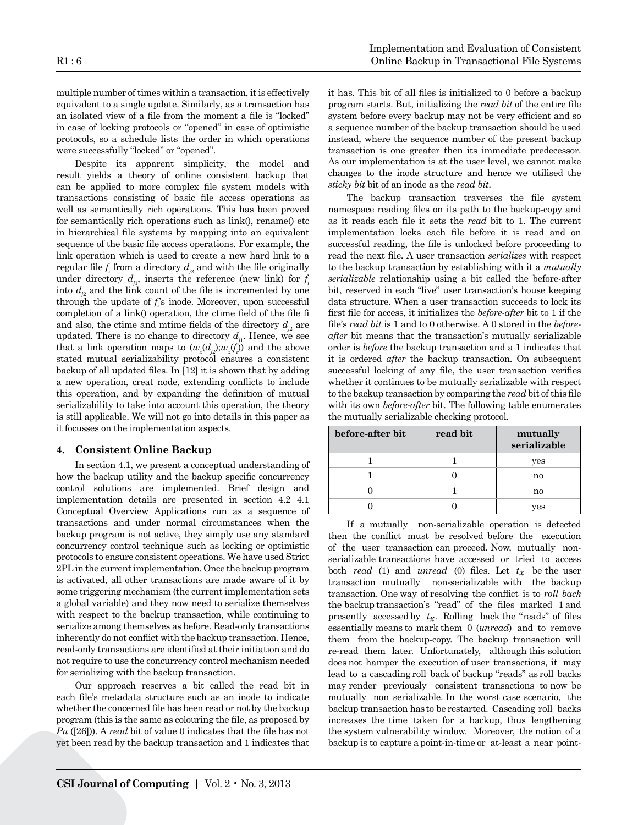multiple number of times within a transaction, it is effectively equivalent to a single update. Similarly, as a transaction has an isolated view of a file from the moment a file is "locked" in case of locking protocols or "opened" in case of optimistic protocols, so a schedule lists the order in which operations were successfully "locked" or "opened".

Despite its apparent simplicity, the model and result yields a theory of online consistent backup that can be applied to more complex file system models with transactions consisting of basic file access operations as well as semantically rich operations. This has been proved for semantically rich operations such as link(), rename() etc in hierarchical file systems by mapping into an equivalent sequence of the basic file access operations. For example, the link operation which is used to create a new hard link to a regular file  $f_i$  from a directory  $d_{i2}$  and with the file originally under directory  $d_{i}$ , inserts the reference (new link) for  $f_i$ into  $d_{i^2}$  and the link count of the file is incremented by one through the update of  $f_i$ 's inode. Moreover, upon successful completion of a link() operation, the ctime field of the file fi and also, the ctime and mtime fields of the directory  $d_{j2}$  are updated. There is no change to directory  $d_{i}$ . Hence, we see that a link operation maps to  $(w_x(d_{j2}); w_x(f_i))$  and the above stated mutual serializability protocol ensures a consistent backup of all updated files. In [12] it is shown that by adding a new operation, creat node, extending conflicts to include this operation, and by expanding the definition of mutual serializability to take into account this operation, the theory is still applicable. We will not go into details in this paper as it focusses on the implementation aspects.

# **4. Consistent Online Backup**

In section 4.1, we present a conceptual understanding of how the backup utility and the backup specific concurrency control solutions are implemented. Brief design and implementation details are presented in section 4.2 4.1 Conceptual Overview Applications run as a sequence of transactions and under normal circumstances when the backup program is not active, they simply use any standard concurrency control technique such as locking or optimistic protocols to ensure consistent operations. We have used Strict 2PL in the current implementation. Once the backup program is activated, all other transactions are made aware of it by some triggering mechanism (the current implementation sets a global variable) and they now need to serialize themselves with respect to the backup transaction, while continuing to serialize among themselves as before. Read-only transactions inherently do not conflict with the backup transaction. Hence, read-only transactions are identified at their initiation and do not require to use the concurrency control mechanism needed for serializing with the backup transaction.

Our approach reserves a bit called the read bit in each file's metadata structure such as an inode to indicate whether the concerned file has been read or not by the backup program (this is the same as colouring the file, as proposed by *Pu* ([26])). A *read* bit of value 0 indicates that the file has not yet been read by the backup transaction and 1 indicates that it has. This bit of all files is initialized to 0 before a backup program starts. But, initializing the *read bit* of the entire file system before every backup may not be very efficient and so a sequence number of the backup transaction should be used instead, where the sequence number of the present backup transaction is one greater then its immediate predecessor. As our implementation is at the user level, we cannot make changes to the inode structure and hence we utilised the *sticky bit* bit of an inode as the *read bit*.

The backup transaction traverses the file system namespace reading files on its path to the backup-copy and as it reads each file it sets the *read* bit to 1. The current implementation locks each file before it is read and on successful reading, the file is unlocked before proceeding to read the next file. A user transaction *serializes* with respect to the backup transaction by establishing with it a *mutually serializable* relationship using a bit called the before-after bit, reserved in each "live" user transaction's house keeping data structure. When a user transaction succeeds to lock its first file for access, it initializes the *before-after* bit to 1 if the file's *read bit* is 1 and to 0 otherwise. A 0 stored in the *beforeafter* bit means that the transaction's mutually serializable order is *before* the backup transaction and a 1 indicates that it is ordered *after* the backup transaction. On subsequent successful locking of any file, the user transaction verifies whether it continues to be mutually serializable with respect to the backup transaction by comparing the *read* bit of this file with its own *before-after* bit. The following table enumerates the mutually serializable checking protocol.

| before-after bit | read bit | mutually<br>serializable |
|------------------|----------|--------------------------|
|                  |          | yes                      |
|                  |          | no                       |
|                  |          | no                       |
|                  |          | ves                      |

If a mutually non-serializable operation is detected then the conflict must be resolved before the execution of the user transaction can proceed. Now, mutually nonserializable transactions have accessed or tried to access both *read* (1) and *unread* (0) files. Let  $t_x$  be the user transaction mutually non-serializable with the backup transaction. One way of resolving the conflict is to *roll back*  the backup transaction's "read" of the files marked 1 and presently accessed by  $t_x$ . Rolling back the "reads" of files essentially means to mark them 0 (*unread*) and to remove them from the backup-copy. The backup transaction will re-read them later. Unfortunately, although this solution does not hamper the execution of user transactions, it may lead to a cascading roll back of backup "reads" as roll backs may render previously consistent transactions to now be mutually non serializable. In the worst case scenario, the backup transaction has to be restarted. Cascading roll backs increases the time taken for a backup, thus lengthening the system vulnerability window. Moreover, the notion of a backup is to capture a point-in-time or at-least a near point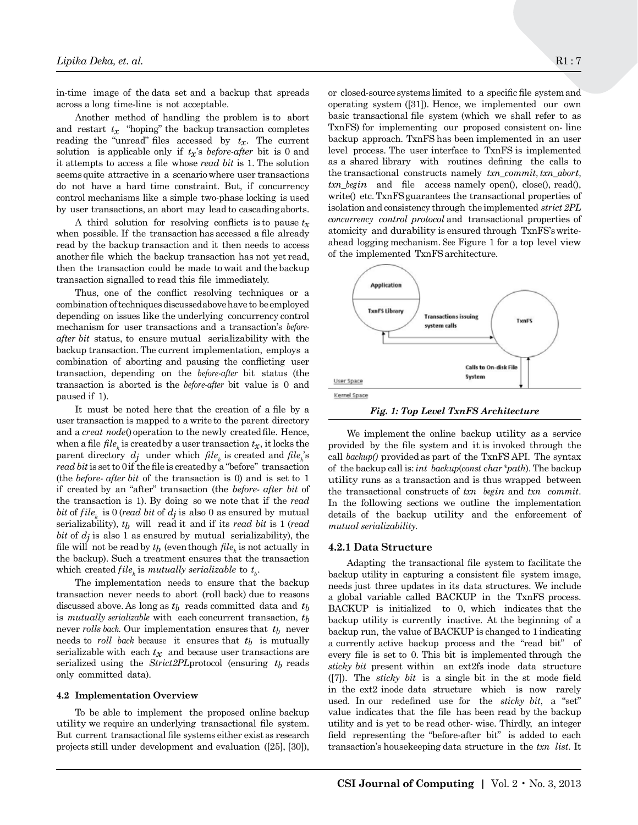in-time image of the data set and a backup that spreads across a long time-line is not acceptable.

Another method of handling the problem is to abort and restart  $t_x$  "hoping" the backup transaction completes reading the "unread" files accessed by  $t_x$ . The current solution is applicable only if  $t_x$ 's *before-after* bit is 0 and it attempts to access a file whose *read bit* is 1. The solution seems quite attractive in a scenario where user transactions do not have a hard time constraint. But, if concurrency control mechanisms like a simple two-phase locking is used by user transactions, an abort may lead to cascading aborts.

A third solution for resolving conflicts is to pause  $t<sub>r</sub>$ when possible. If the transaction has accessed a file already read by the backup transaction and it then needs to access another file which the backup transaction has not yet read, then the transaction could be made to wait and the backup transaction signalled to read this file immediately.

Thus, one of the conflict resolving techniques or a combination of techniques discussed above have to be employed depending on issues like the underlying concurrency control mechanism for user transactions and a transaction's *beforeafter bit* status, to ensure mutual serializability with the backup transaction. The current implementation, employs a combination of aborting and pausing the conflicting user transaction, depending on the *before-after* bit status (the transaction is aborted is the *before-after* bit value is 0 and paused if 1).

It must be noted here that the creation of a file by a user transaction is mapped to a write to the parent directory and a *creat node*() operation to the newly created file. Hence, when a file  $file_k$  is created by a user transaction  $t_x$ , it locks the parent directory  $dj$  under which  $file_k$  is created and  $file_k$ 's *read bit* is set to 0 if the file is created by a "before" transaction (the *before- after bit* of the transaction is 0) and is set to 1 if created by an "after" transaction (the *before- after bit* of the transaction is 1). By doing so we note that if the *read bit* of *file<sub>k</sub>* is 0 (*read bit* of  $d_j$  is also 0 as ensured by mutual serializability), *tb* will read it and if its *read bit* is 1 (*read bit* of  $d_i$  is also 1 as ensured by mutual serializability), the file will not be read by  $t_b$  (even though  $file_k$  is not actually in the backup). Such a treatment ensures that the transaction which created  $file_k$  is *mutually serializable* to  $t_b$ .

The implementation needs to ensure that the backup transaction never needs to abort (roll back) due to reasons discussed above. As long as *tb* reads committed data and *tb*  is *mutually serializable* with each concurrent transaction, *tb*  never *rolls back*. Our implementation ensures that  $t_b$  never needs to *roll back* because it ensures that  $t_b$  is mutually serializable with each  $t_x$  and because user transactions are serialized using the *Strict2PL* protocol (ensuring  $t_b$  reads only committed data).

#### **4.2 Implementation Overview**

To be able to implement the proposed online backup utility we require an underlying transactional file system. But current transactional file systems either exist as research projects still under development and evaluation ([25], [30]),

or closed-source systems limited to a specific file system and or closed-source systems limited to a specific life system and  $\sim$  operating system ([31]). Hence, we implemented our own basic transactional file system (which we shall refer to as  $TxnFS$ ) for implementing our proposed consistent on- line backup approach. TxnFS has been implemented in an user backup approach. Tanks has been implemented in an user<br>level process. The user interface to TxnFS is implemented as a shared library with routines defining the calls to the transactional constructs namely  $txn\_commit, txn\_abort$ ,  $txn\_height, xnn\_best$ ,  $xnn\_height, xnn\_abcd$ *txn* begin and file access namely open(), close(), read(),  $\frac{m}{2}$  write() etc. TxnFS guarantees the transactional properties of isolation and consistency through the implemented *strict 2PL concurrency control protocol* and transactional properties of concurrency control protocol and transactional properties of atomicity and durability is ensured through TxnFS's writeahead logging mechanism. See Figure 1 for a top level view of the implemented TxnFS architecture.



Fig. 1: Top Level TxnFS Architecture *Fig. 1: Top Level TxnFS Architecture*

provided by the file system and it is invoked through the  $\frac{11}{100}$  is  $\frac{1}{100}$  in  $\frac{1}{100}$  in  $\frac{1}{100}$  in  $\frac{1}{100}$  in  $\frac{1}{100}$  in  $\frac{1}{100}$ can *buthp()* provided as part of the FAITDATT. The symmetric of the backup call is: *int backup*(*const char \*path*). The backup utility runs as a transaction and is thus wrapped between We implement the online backup utility as a service call *backup()* provided as part of the TxnFS API. The syntax the transactional constructs of *txn begin* and *txn commit*. In the following sections we outline the implementation details of the backup utility and the enforcement of *mutual serializability*.

#### **4.2.1 Data Structure**

Adapting the transactional file system to facilitate the backup utility in capturing a consistent file system image, needs just three updates in its data structures. We include a global variable called BACKUP in the TxnFS process. BACKUP is initialized to 0, which indicates that the backup utility is currently inactive. At the beginning of a backup run, the value of BACKUP is changed to 1 indicating a currently active backup process and the "read bit" of every file is set to 0. This bit is implemented through the *sticky bit* present within an ext2fs inode data structure ([7]). The *sticky bit* is a single bit in the st mode field in the ext2 inode data structure which is now rarely used. In our redefined use for the *sticky bit*, a "set" value indicates that the file has been read by the backup utility and is yet to be read other- wise. Thirdly, an integer field representing the "before-after bit" is added to each transaction's housekeeping data structure in the *txn list*. It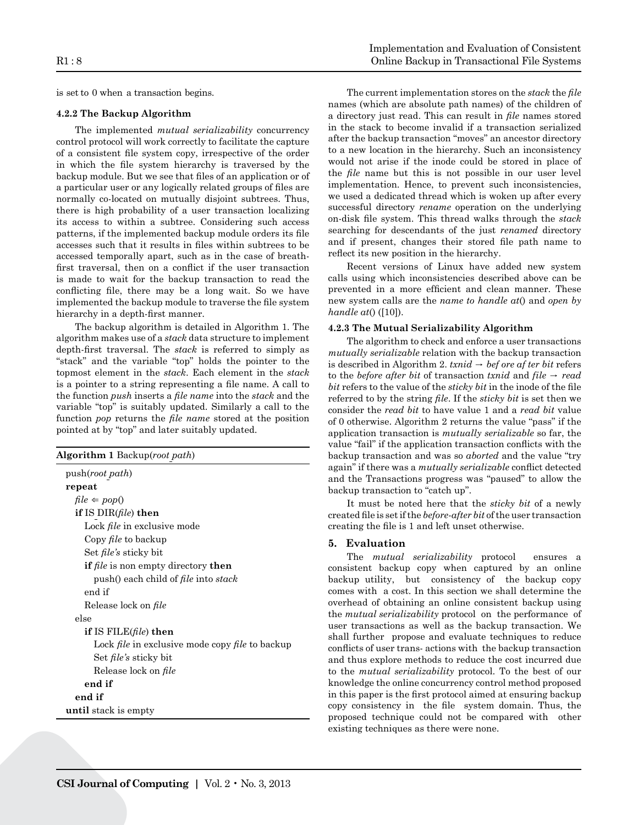is set to 0 when a transaction begins.

### **4.2.2 The Backup Algorithm**

The implemented *mutual serializability* concurrency control protocol will work correctly to facilitate the capture of a consistent file system copy, irrespective of the order in which the file system hierarchy is traversed by the backup module. But we see that files of an application or of a particular user or any logically related groups of files are normally co-located on mutually disjoint subtrees. Thus, there is high probability of a user transaction localizing its access to within a subtree. Considering such access patterns, if the implemented backup module orders its file accesses such that it results in files within subtrees to be accessed temporally apart, such as in the case of breathfirst traversal, then on a conflict if the user transaction is made to wait for the backup transaction to read the conflicting file, there may be a long wait. So we have implemented the backup module to traverse the file system hierarchy in a depth-first manner.

The backup algorithm is detailed in Algorithm 1. The algorithm makes use of a *stack* data structure to implement depth-first traversal. The *stack* is referred to simply as "stack" and the variable "top" holds the pointer to the topmost element in the *stack*. Each element in the *stack*  is a pointer to a string representing a file name. A call to the function *push* inserts a *file name* into the *stack* and the variable "top" is suitably updated. Similarly a call to the function *pop* returns the *file name* stored at the position pointed at by "top" and later suitably updated.

| <b>Algorithm 1</b> Backup(root path)                          |
|---------------------------------------------------------------|
| push(root path)                                               |
| repeat                                                        |
| $file \Leftarrow pop()$                                       |
| if IS $DIR(file)$ then                                        |
| Lock <i>file</i> in exclusive mode                            |
| Copy <i>file</i> to backup                                    |
| Set <i>file's</i> sticky bit                                  |
| <b>if</b> file is non empty directory <b>then</b>             |
| push() each child of <i>file</i> into <i>stack</i>            |
| end if                                                        |
| Release lock on file                                          |
| else                                                          |
| if IS FILE(file) then                                         |
| Lock <i>file</i> in exclusive mode copy <i>file</i> to backup |
| Set <i>file's</i> sticky bit                                  |
| Release lock on file                                          |
| end if                                                        |
| end if                                                        |
| until stack is empty                                          |
|                                                               |

The current implementation stores on the *stack* the *file*  names (which are absolute path names) of the children of a directory just read. This can result in *file* names stored in the stack to become invalid if a transaction serialized after the backup transaction "moves" an ancestor directory to a new location in the hierarchy. Such an inconsistency would not arise if the inode could be stored in place of the *file* name but this is not possible in our user level implementation. Hence, to prevent such inconsistencies, we used a dedicated thread which is woken up after every successful directory *rename* operation on the underlying on-disk file system. This thread walks through the *stack*  searching for descendants of the just *renamed* directory and if present, changes their stored file path name to reflect its new position in the hierarchy.

Recent versions of Linux have added new system calls using which inconsistencies described above can be prevented in a more efficient and clean manner. These new system calls are the *name to handle at*() and *open by handle at*() ([10]).

# **4.2.3 The Mutual Serializability Algorithm**

The algorithm to check and enforce a user transactions *mutually serializable* relation with the backup transaction is described in Algorithm 2.  $t x n i d \rightarrow b e f$  ore *af ter bit* refers to the *before* after *bit* of transaction *txnid* and  $file \rightarrow read$ *bit* refers to the value of the *sticky bit* in the inode of the file referred to by the string *file*. If the *sticky bit* is set then we consider the *read bit* to have value 1 and a *read bit* value of 0 otherwise. Algorithm 2 returns the value "pass" if the application transaction is *mutually serializable* so far, the value "fail" if the application transaction conflicts with the backup transaction and was so *aborted* and the value "try again" if there was a *mutually serializable* conflict detected and the Transactions progress was "paused" to allow the backup transaction to "catch up".

It must be noted here that the *sticky bit* of a newly created file is set if the *before-after bit* of the user transaction creating the file is 1 and left unset otherwise.

#### **5. Evaluation**

The *mutual serializability* protocol ensures a consistent backup copy when captured by an online backup utility, but consistency of the backup copy comes with a cost. In this section we shall determine the overhead of obtaining an online consistent backup using the *mutual serializability* protocol on the performance of user transactions as well as the backup transaction. We shall further propose and evaluate techniques to reduce conflicts of user trans- actions with the backup transaction and thus explore methods to reduce the cost incurred due to the *mutual serializability* protocol. To the best of our knowledge the online concurrency control method proposed in this paper is the first protocol aimed at ensuring backup copy consistency in the file system domain. Thus, the proposed technique could not be compared with other existing techniques as there were none.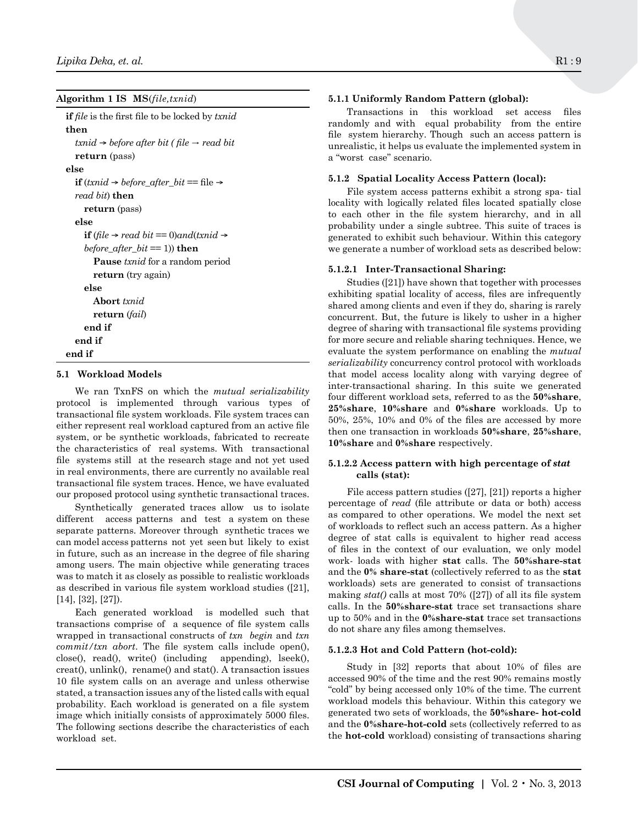**Algorithm 1 IS MS**(*file,txnid*)

**if** *file* is the first file to be locked by *txnid* **then** *txnid* ® *before after bit ( file* → *read bit* **return** (pass) **else if** ( $t$ *xnid*  $\rightarrow$  *before\_after\_bit* == file  $\rightarrow$ *read bit*) **then return** (pass) **else if** (*file*  $\rightarrow$  *read bit* == 0)*and*(*txnid*  $\rightarrow$  *before\_after\_bit* == 1)) **then Pause** *txnid* for a random period **return** (try again) **else Abort** *txnid* **return** (*fail*) **end if end if end if**

# **5.1 Workload Models**

We ran TxnFS on which the *mutual serializability*  protocol is implemented through various types of transactional file system workloads. File system traces can either represent real workload captured from an active file system, or be synthetic workloads, fabricated to recreate the characteristics of real systems. With transactional file systems still at the research stage and not yet used in real environments, there are currently no available real transactional file system traces. Hence, we have evaluated our proposed protocol using synthetic transactional traces.

Synthetically generated traces allow us to isolate different access patterns and test a system on these separate patterns. Moreover through synthetic traces we can model access patterns not yet seen but likely to exist in future, such as an increase in the degree of file sharing among users. The main objective while generating traces was to match it as closely as possible to realistic workloads as described in various file system workload studies ([21], [14], [32], [27]).

Each generated workload is modelled such that transactions comprise of a sequence of file system calls wrapped in transactional constructs of *txn begin* and *txn commit/txn abort*. The file system calls include open(), close(), read(), write() (including appending), lseek(), creat(), unlink(), rename() and stat(). A transaction issues 10 file system calls on an average and unless otherwise stated, a transaction issues any of the listed calls with equal probability. Each workload is generated on a file system image which initially consists of approximately 5000 files. The following sections describe the characteristics of each workload set.

# **5.1.1 Uniformly Random Pattern (global):**

Transactions in this workload set access files randomly and with equal probability from the entire file system hierarchy. Though such an access pattern is unrealistic, it helps us evaluate the implemented system in a "worst case" scenario.

# **5.1.2 Spatial Locality Access Pattern (local):**

File system access patterns exhibit a strong spa- tial locality with logically related files located spatially close to each other in the file system hierarchy, and in all probability under a single subtree. This suite of traces is generated to exhibit such behaviour. Within this category we generate a number of workload sets as described below:

# **5.1.2.1 Inter-Transactional Sharing:**

Studies ([21]) have shown that together with processes exhibiting spatial locality of access, files are infrequently shared among clients and even if they do, sharing is rarely concurrent. But, the future is likely to usher in a higher degree of sharing with transactional file systems providing for more secure and reliable sharing techniques. Hence, we evaluate the system performance on enabling the *mutual serializability* concurrency control protocol with workloads that model access locality along with varying degree of inter-transactional sharing. In this suite we generated four different workload sets, referred to as the **50%share**, **25%share**, **10%share** and **0%share** workloads. Up to 50%, 25%, 10% and 0% of the files are accessed by more then one transaction in workloads **50%share**, **25%share**, **10%share** and **0%share** respectively.

# **5.1.2.2 Access pattern with high percentage of** *stat* **calls (stat):**

File access pattern studies ([27], [21]) reports a higher percentage of *read* (file attribute or data or both) access as compared to other operations. We model the next set of workloads to reflect such an access pattern. As a higher degree of stat calls is equivalent to higher read access of files in the context of our evaluation, we only model work- loads with higher **stat** calls. The **50%share-stat**  and the **0% share-stat** (collectively referred to as the **stat**  workloads) sets are generated to consist of transactions making *stat()* calls at most 70% ([27]) of all its file system calls. In the **50%share-stat** trace set transactions share up to 50% and in the **0%share-stat** trace set transactions do not share any files among themselves.

# **5.1.2.3 Hot and Cold Pattern (hot-cold):**

Study in [32] reports that about 10% of files are accessed 90% of the time and the rest 90% remains mostly "cold" by being accessed only 10% of the time. The current workload models this behaviour. Within this category we generated two sets of workloads, the **50%share- hot-cold**  and the **0%share-hot-cold** sets (collectively referred to as the **hot-cold** workload) consisting of transactions sharing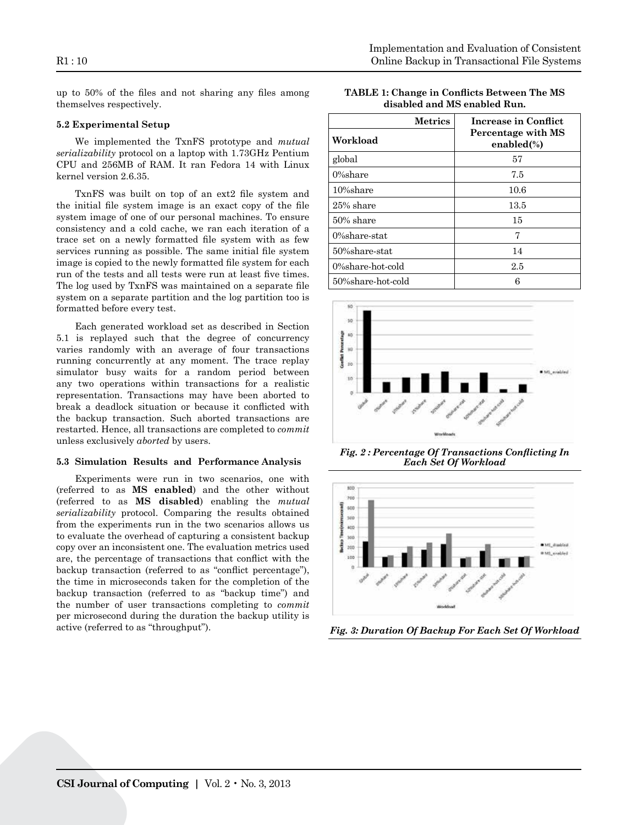R1 : 10

up to 50% of the files and not sharing any files among themselves respectively.

### **5.2 Experimental Setup**

We implemented the TxnFS prototype and *mutual serializability* protocol on a laptop with 1.73GHz Pentium CPU and 256MB of RAM. It ran Fedora 14 with Linux kernel version 2.6.35.

TxnFS was built on top of an ext2 file system and the initial file system image is an exact copy of the file system image of one of our personal machines. To ensure consistency and a cold cache, we ran each iteration of a trace set on a newly formatted file system with as few services running as possible. The same initial file system image is copied to the newly formatted file system for each run of the tests and all tests were run at least five times. The log used by TxnFS was maintained on a separate file system on a separate partition and the log partition too is formatted before every test.

Each generated workload set as described in Section 5.1 is replayed such that the degree of concurrency varies randomly with an average of four transactions running concurrently at any moment. The trace replay simulator busy waits for a random period between any two operations within transactions for a realistic representation. Transactions may have been aborted to break a deadlock situation or because it conflicted with the backup transaction. Such aborted transactions are restarted. Hence, all transactions are completed to *commit*  unless exclusively *aborted* by users.

#### **5.3 Simulation Results and Performance Analysis**

Experiments were run in two scenarios, one with (referred to as **MS enabled**) and the other without (referred to as **MS disabled**) enabling the *mutual serializability* protocol. Comparing the results obtained from the experiments run in the two scenarios allows us to evaluate the overhead of capturing a consistent backup copy over an inconsistent one. The evaluation metrics used are, the percentage of transactions that conflict with the backup transaction (referred to as "conflict percentage"), the time in microseconds taken for the completion of the backup transaction (referred to as "backup time") and the number of user transactions completing to *commit*  per microsecond during the duration the backup utility is active (referred to as "throughput").

| <b>TABLE 1: Change in Conflicts Between The MS</b> |
|----------------------------------------------------|
| disabled and MS enabled Run.                       |

global 57 million de la construction de la construction de la construction de la construction de la constructio

| Workload          | Percentage with MS<br>enabled $(\%)$ |
|-------------------|--------------------------------------|
|                   |                                      |
| global            | 57                                   |
| $0\%$ share       | 7.5                                  |
| 10%share          | 10.6                                 |
| 25% share         | 13.5                                 |
| $50\%$ share      | 15                                   |
| $0%$ share-stat   | 7                                    |
| 50%share-stat     | 14                                   |
| 0%share-hot-cold  | 2.5                                  |
| 50%share-hot-cold | 6                                    |



Fig. 2: Percentage Of Transactions Conflicting *Fig. 2 : Percentage Of Transactions Conflicting In*  In Each Set Of Workload *Each Set Of Workload*



Fig. 3: Duration Of Backup For Each Set Of *Fig. 3: Duration Of Backup For Each Set Of Workload*

Workland (1986)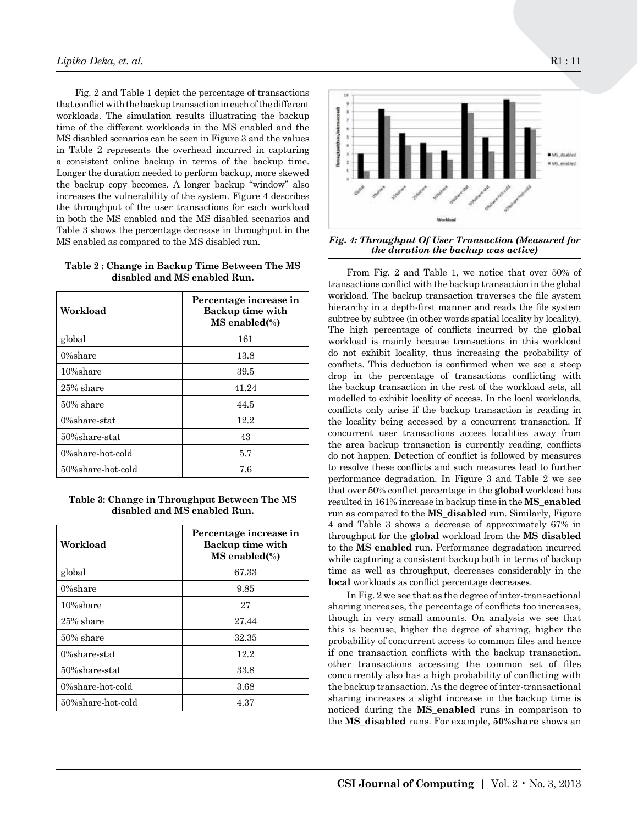Fig. 2 and Table 1 depict the percentage of transactions that conflict with the backup transaction in each of the different workloads. The simulation results illustrating the backup time of the different workloads in the MS enabled and the MS disabled scenarios can be seen in Figure 3 and the values in Table 2 represents the overhead incurred in capturing a consistent online backup in terms of the backup time. Longer the duration needed to perform backup, more skewed the backup copy becomes. A longer backup "window" also increases the vulnerability of the system. Figure 4 describes the throughput of the user transactions for each workload in both the MS enabled and the MS disabled scenarios and Table 3 shows the percentage decrease in throughput in the MS enabled as compared to the MS disabled run.

**Table 2 : Change in Backup Time Between The MS disabled and MS enabled Run.**

| Workload             | Percentage increase in<br>Backup time with<br>MS enabled(%) |
|----------------------|-------------------------------------------------------------|
| global               | 161                                                         |
| $0\%$ share          | 13.8                                                        |
| 10%share             | 39.5                                                        |
| 25% share            | 41.24                                                       |
| $50\%$ share         | 44.5                                                        |
| $0%$ share-stat      | 12.2                                                        |
| 50%share-stat        | 43                                                          |
| $0\%$ share-hot-cold | 5.7                                                         |
| 50%share-hot-cold    | 7.6                                                         |

**Table 3: Change in Throughput Between The MS disabled and MS enabled Run.**

| Workload             | Percentage increase in<br>Backup time with<br>MS enabled(%) |
|----------------------|-------------------------------------------------------------|
| global               | 67.33                                                       |
| $0\%$ share          | 9.85                                                        |
| 10%share             | 27                                                          |
| 25% share            | 27.44                                                       |
| $50\%$ share         | 32.35                                                       |
| $0\%$ share-stat     | 12.2                                                        |
| 50%share-stat        | 33.8                                                        |
| $0\%$ share-hot-cold | 3.68                                                        |
| 50%share-hot-cold    | 4.37                                                        |



Fig. 4: Throughput Of User Transaction (Measured for *Fig. 4: Throughput Of User Transaction*)  $\frac{1}{100}$  the during for the backup was active, *the duration the backup was active)*

From Fig. 2 and Table 1, we notice that over 50% of subtree by subtree (in other words spatial locality by locality).<br>The high percentage of conflicts incurred by the **global** workload is mainly because transactions in this workload do not exhibit locality, thus increasing the probability of conflicts. This doduction is confirmed when we see a steep drop in the percentage of transactions conflicting with the backup transaction in the rest of the workload sets, all modelled to exhibit locality of access. In the local workloads,<br>conflicts only arise if the backup transaction is reading in  $t_{\text{total}}$  subtree  $\frac{t_{\text{total}}}{t_{\text{total}}}$  is the statistical concurrent transaction. If concurrent user transactions access localities away from the area backup transaction is currently reading, conflicts<br>do not happen. Detection of conflict is followed by measures to resolve these conflicts and such measures lead to further performance degradation. In Figure 3 and Table 2 we see that over 50% conflict percentage in the **global** workload has<br>resulted in 161% increase in hashun time in the **MS** angulad run as compared to the **MS\_disabled** run. Similarly, Figure 4 and Table 3 shows a decrease of approximately 67% in throughput for the **global** workload from the **MS disabled**<br>to the **MS** anabled win, Berformance decreeds in incurred while capturing a consistent backup both in terms of backup time as well as throughput, decreases considerably in the **local** workloads as conflict percentage decreases. transactions conflict with the backup transaction in the global workload. The backup transaction traverses the file system hierarchy in a depth-first manner and reads the file system subtree by subtree (in other words spatial locality by locality). conflicts. This deduction is confirmed when we see a steep modelled to exhibit locality of access. In the local workloads, the area backup transaction is currently reading, conflicts resulted in 161% increase in backup time in the **MS\_enabled**  to the **MS enabled** run. Performance degradation incurred

In Fig. 2 we see that as the degree of inter-transactional<br>sharing increases, the percentage of conflicts too increases, though in very small amounts. On analysis we see that this is because, higher the degree of sharing, higher the probability of concurrent access to common mes and nence<br>if one transaction conflicts with the backup transaction, other transactions accessing the common set of files concurrently also has a high probability of conflicting with the backup transaction. As the degree of inter-transactional<br>sharing increases a slight increase in the backup time is noticed during the **MS\_enabled** runs in comparison to 50% conflict percentage in the **global** workload the **MS\_disabled** runs. For example, **50%share** shows an In Fig. 2 we see that as the degree of inter-transactional probability of concurrent access to common files and hence the backup transaction. As the degree of inter-transactional

**MS disabled** run. Similarly, Figure 4 and Table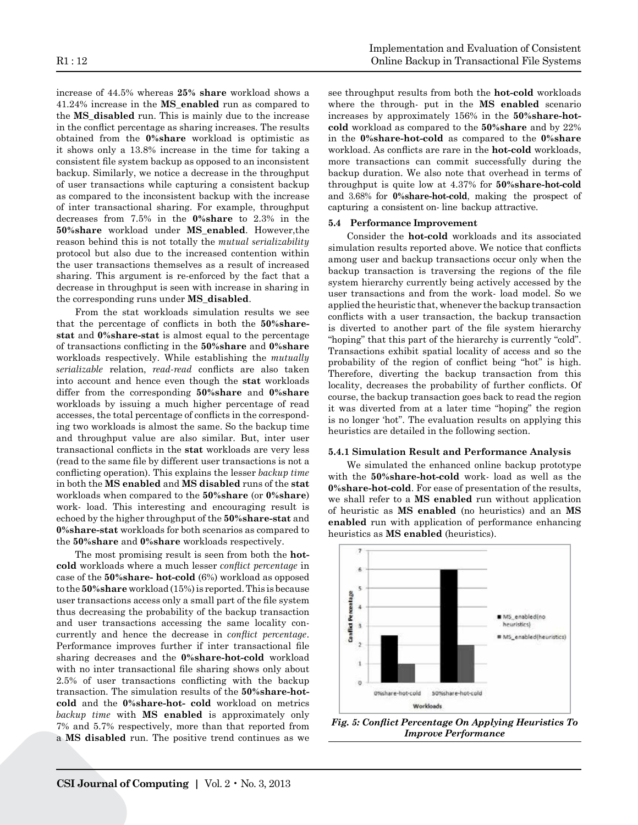increase of 44.5% whereas **25% share** workload shows a 41.24% increase in the **MS\_enabled** run as compared to the **MS\_disabled** run. This is mainly due to the increase in the conflict percentage as sharing increases. The results obtained from the **0%share** workload is optimistic as it shows only a 13.8% increase in the time for taking a consistent file system backup as opposed to an inconsistent backup. Similarly, we notice a decrease in the throughput of user transactions while capturing a consistent backup as compared to the inconsistent backup with the increase of inter transactional sharing. For example, throughput decreases from 7.5% in the **0%share** to 2.3% in the **50%share** workload under **MS\_enabled**. However,the reason behind this is not totally the *mutual serializability* protocol but also due to the increased contention within the user transactions themselves as a result of increased sharing. This argument is re-enforced by the fact that a decrease in throughput is seen with increase in sharing in the corresponding runs under **MS\_disabled**.

From the stat workloads simulation results we see that the percentage of conflicts in both the **50%sharestat** and **0%share-stat** is almost equal to the percentage of transactions conflicting in the **50%share** and **0%share** workloads respectively. While establishing the *mutually serializable* relation, *read-read* conflicts are also taken into account and hence even though the **stat** workloads differ from the corresponding **50%share** and **0%share**  workloads by issuing a much higher percentage of read accesses, the total percentage of conflicts in the corresponding two workloads is almost the same. So the backup time and throughput value are also similar. But, inter user transactional conflicts in the **stat** workloads are very less (read to the same file by different user transactions is not a conflicting operation). This explains the lesser *backup time*  in both the **MS enabled** and **MS disabled** runs of the **stat**  workloads when compared to the **50%share** (or **0%share**) work- load. This interesting and encouraging result is echoed by the higher throughput of the **50%share-stat** and **0%share-stat** workloads for both scenarios as compared to the **50%share** and **0%share** workloads respectively.

The most promising result is seen from both the **hotcold** workloads where a much lesser *conflict percentage* in case of the **50%share- hot-cold** (6%) workload as opposed to the **50%share** workload (15%) is reported. This is because user transactions access only a small part of the file system thus decreasing the probability of the backup transaction and user transactions accessing the same locality concurrently and hence the decrease in *conflict percentage*. Performance improves further if inter transactional file sharing decreases and the **0%share-hot-cold** workload with no inter transactional file sharing shows only about 2.5% of user transactions conflicting with the backup transaction. The simulation results of the **50%share-hotcold** and the **0%share-hot- cold** workload on metrics *backup time* with **MS enabled** is approximately only 7% and 5.7% respectively, more than that reported from a **MS disabled** run. The positive trend continues as we see throughput results from both the **hot-cold** workloads where the through- put in the **MS enabled** scenario increases by approximately 156% in the **50%share-hotcold** workload as compared to the **50%share** and by 22% in the **0%share-hot-cold** as compared to the **0%share**  workload. As conflicts are rare in the **hot-cold** workloads, more transactions can commit successfully during the backup duration. We also note that overhead in terms of throughput is quite low at 4.37% for **50%share-hot-cold**  and 3.68% for **0%share-hot-cold**, making the prospect of capturing a consistent on- line backup attractive.

# **5.4 Performance Improvement**

Consider the **hot-cold** workloads and its associated simulation results reported above. We notice that conflicts among user and backup transactions occur only when the backup transaction is traversing the regions of the file system hierarchy currently being actively accessed by the user transactions and from the work- load model. So we applied the heuristic that, whenever the backup transaction conflicts with a user transaction, the backup transaction is diverted to another part of the file system hierarchy "hoping" that this part of the hierarchy is currently "cold". Transactions exhibit spatial locality of access and so the probability of the region of conflict being "hot" is high. Therefore, diverting the backup transaction from this locality, decreases the probability of further conflicts. Of course, the backup transaction goes back to read the region it was diverted from at a later time "hoping" the region is no longer 'hot". The evaluation results on applying this heuristics are detailed in the following section.

#### **5.4.1 Simulation Result and Performance Analysis**

We simulated the enhanced online backup prototype with the **50%share-hot-cold** work- load as well as the **0%share-hot-cold**. For ease of presentation of the results, we shall refer to a **MS enabled** run without application of heuristic as **MS enabled** (no heuristics) and an **MS enabled** run with application of performance enhancing heuristics as **MS enabled** (heuristics).



**Fig. 5: Conflict Performance** *Fig. 5: Conflict Percentage On Applying Heuristics To* 

Heuristics To Improve Performance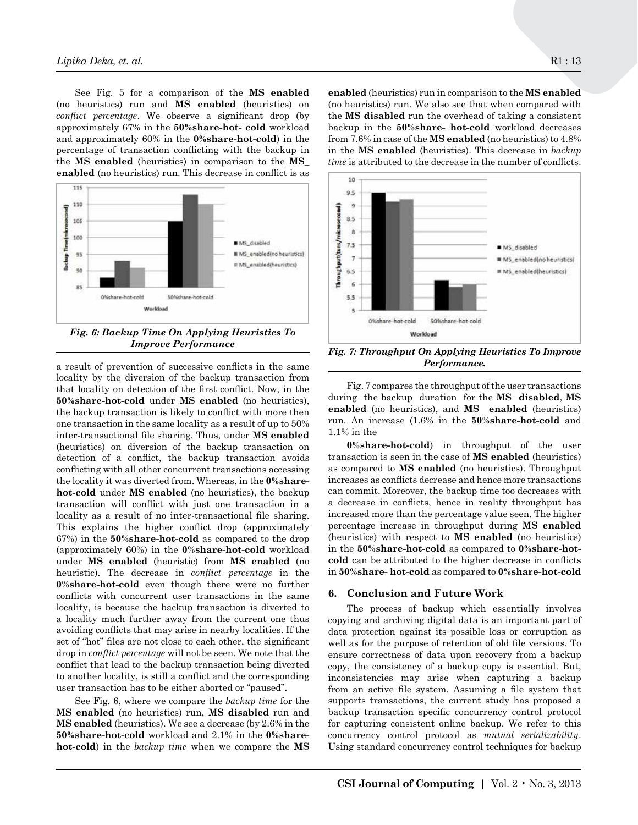See Fig. 5 for a comparison of the **MS enabled**  (no heuristics) run and **MS enabled** (heuristics) on *conflict percentage*. We observe a significant drop (by approximately 67% in the **50%share-hot- cold** workload and approximately 60% in the **0%share-hot-cold**) in the fi percentage of transaction conflicting with the backup in  $H_{\text{S}}$ the **MS enabled** (heuristics) in comparison to the **MS\_ enabled** (no heuristics) run. This decrease in conflict is as



Fig. 6: Backup Time On Applying Heuristics To *Improve Performance Fig. 6: Backup Time On Applying Heuristics To* 

a result of prevention of successive conflicts in the same  $\frac{1}{20}$  out conflict with more then the backup transaction is likely to conflict with more then one transaction in the same locality as a result of up to  $50\%$  <sup>r</sup> inter-transactional file sharing. Thus, under  $MS$  **enabled**  $\frac{1}{2}$  $\alpha$  detection of a conflict, the backup transaction avoids to detection of a conflict, the backup transaction avoids conflicting with all other concurrent transactions accessing a the locality it was diverted from. Whereas, in the **0%share**transaction will conflict with just one transaction in a locality as a result of no inter-transactional file sharing. ii This explains the higher conflict drop (approximately  $p = 35\%$ )  $M \sim 67$  and the **30**% of the **diversion of the diversion of the diversion of the diversion of the diversion of the diversion of the diversion of the diversion of the diversion of the diversion of the diversion of the div** under **MS** enabled (heuristic) from **MS** enabled (no c heuristic). The decrease in *conflict percentage* in the <sup>in</sup>  $\frac{1}{\sqrt{2}}$  conflicts with concurrent user transactions in the same  $\frac{1}{\sqrt{2}}$ locality, is because the backup transaction is diverted to a locality much further away from the current one thus contained to the current one thus contained to the current one thus the current one thus contained to the cold contained to the cold contained to the cold contained on avoiding connects that may arise in hearby localities. It the  $\frac{a}{s}$  set of "hot" files are not close to each other, the significant will drop in *conflict percentage* will not be seen. We note that the e and file conflict that lead to the backup transaction being diverted that lead to the backup transaction being diverted conflict  $\frac{1}{2}$  user transaction has to be either aborted or "paused".  $\frac{1}{2}$ locality by the diversion of the backup transaction from that locality on detection of the first conflict. Now, in the  $50\%$  channel between  $MS$  and  $MS$  and  $\frac{1}{2}$  (i.e. homitime) **50%share-hot-cold** under **MS enabled** (no heuristics), (heuristics) on diversion of the backup transaction on **hot-cold** under **MS enabled** (no heuristics), the backup 67%) in the **50%share-hot-cold** as compared to the drop **0%share-hot-cold** even though there were no further avoiding conflicts that may arise in nearby localities. If the to another locality, is still a conflict and the corresponding

See Fig. 6, where we compare the *backup time* for the s **MS enabled** (no heuristics) run, **MS disabled** run and  $\overline{\text{MS}}$  **enabled** (heuristics). We see a decrease (by 2.6% in the **50%share-hot-cold** workload and 2.1% in the **0%sharehot-cold**) in the *backup time* when we compare the **MS** 

inter-transactional file sharing. Thus, under

the **MS disabled** run the overhead of taking a consistent<br>backup in the 50%**share- hot-cold** workload decreases from 7.6% in case of the **MS enabled** (no heuristics) to 4.8% **enabled** (heuristics) run in comparison to the **MS enabled**  (no heuristics) run. We also see that when compared with the **MS disabled** run the overhead of taking a consistent in the **MS enabled** (heuristics). This decrease in *backup time* is attributed to the decrease in the number of conflicts.



Fig. 7: Throughput On Applying Heuristics To Improve<br>Performance **percentage will note that the seen and the seen and the seen and the seen and the seen and the seen.** Fig. 7: Throughput On Applying Heuristics To *Performance.*

Fig. 7 compares the throughput of the user transactions during the backup duration for the **MS** disabled, **MS**<br>enabled (no heuristics), and **MS** enabled (heuristics) run. An increase  $(1.6\%$  in the **50%share-hot-cold** and  $1.1\%$  in the Fig. 7 compares the throughput of the user transactions during the backup duration for the **MS disabled**, **MS** 1.1% in the

1.1% in the<br> **0%share-hot-cold**) in throughput of the user  $V$ <sup>8</sup>  $\overline{S}$ **examplements**  $\overline{S}$  **and**  $\overline{S}$  **MS enabled** (heuristics) as compared to **MS** enabled (no heuristics). Throughput **M**  $\alpha$  **e** as conflicts decrease and hence more transactions can commit. Moreover, the backup time too decreases with a decrease in conflicts, hence in reality throughput has increased more than the percentage value seen. The higher **ombig increase in throughput during MS enabled** in the 50%share-hot-cold as compared to 0%share-hotcold can be attributed to the higher decrease in conflicts  $0\%$ share- hot-cold as compared to  $0\%$ share-hot-cold as compared to **MS** enabled (no heuristics). Throughput increases as conflicts decrease and hence more transactions can commit. Moreover, the backup time too decreases with increased more than the percentage value seen. The higher percentage increase in throughput during **MS** enabled the backup transaction is diverted to a locality (heuristics) with respect to **MS enabled** (no heuristics) cold can be attributed to the higher decrease in conflicts<br>in 50%share-hot-cold as compared to 0%share-hot-cold localities. If the set of the set of  $\alpha$  is the set of  $\alpha$ 

# **6.** Conclusion and Future Work

The process of backup which essentially involves copying and archiving digital data is an important part of protection against its possible loss or corruption as  $e_0$  for the number of protection of ald file versions. To en as for the par<sub>pose</sub> of reconflict and the versions. To ensure correctness of data upon recovery from a backup copy, the consistency of a backup copy is essential. But, nsistencies may arise wi supports transactions, the current study has proposed a copying and archiving digital data is an important part of data protection against its possible loss or corruption as well as for the purpose of retention of old file versions. To topy, the consistency or a backup copy is essential. But, inconsistencies may arise when capturing a backup from an active file system. Assuming a file system that supports transactions, the current study has proposed a backup transaction specific concurrency control protocol **Matthews Calculated Figure Constituting** (**both c c process for** capturing consistent online backup. We refer to this concurrency control protocol as *mutual serializability*. Using standard concurrency control techniques for backup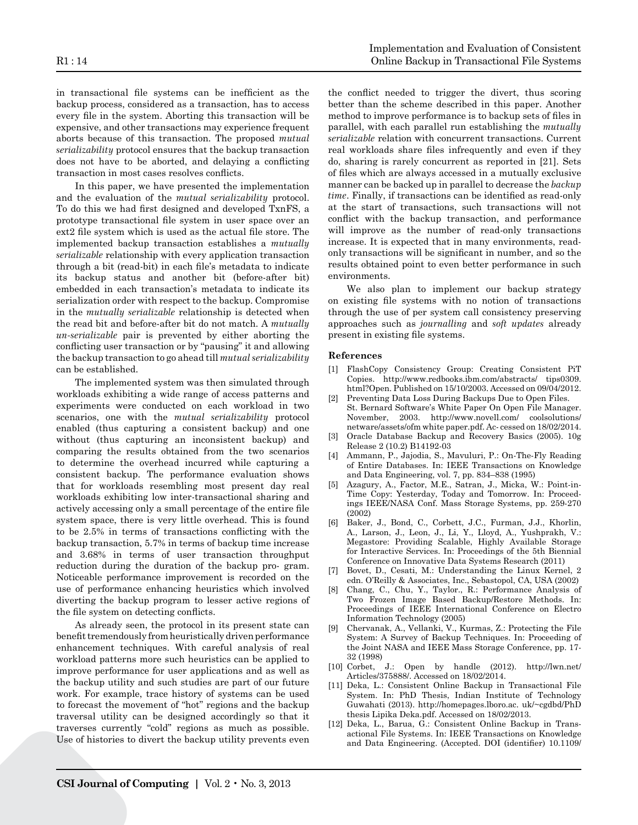in transactional file systems can be inefficient as the backup process, considered as a transaction, has to access every file in the system. Aborting this transaction will be expensive, and other transactions may experience frequent aborts because of this transaction. The proposed *mutual serializability* protocol ensures that the backup transaction does not have to be aborted, and delaying a conflicting transaction in most cases resolves conflicts.

In this paper, we have presented the implementation and the evaluation of the *mutual serializability* protocol. To do this we had first designed and developed TxnFS, a prototype transactional file system in user space over an ext2 file system which is used as the actual file store. The implemented backup transaction establishes a *mutually serializable* relationship with every application transaction through a bit (read-bit) in each file's metadata to indicate its backup status and another bit (before-after bit) embedded in each transaction's metadata to indicate its serialization order with respect to the backup. Compromise in the *mutually serializable* relationship is detected when the read bit and before-after bit do not match. A *mutually un-serializable* pair is prevented by either aborting the conflicting user transaction or by "pausing" it and allowing the backup transaction to go ahead till *mutual serializability* can be established.

The implemented system was then simulated through workloads exhibiting a wide range of access patterns and experiments were conducted on each workload in two scenarios, one with the *mutual serializability* protocol enabled (thus capturing a consistent backup) and one without (thus capturing an inconsistent backup) and comparing the results obtained from the two scenarios to determine the overhead incurred while capturing a consistent backup. The performance evaluation shows that for workloads resembling most present day real workloads exhibiting low inter-transactional sharing and actively accessing only a small percentage of the entire file system space, there is very little overhead. This is found to be 2.5% in terms of transactions conflicting with the backup transaction, 5.7% in terms of backup time increase and 3.68% in terms of user transaction throughput reduction during the duration of the backup pro- gram. Noticeable performance improvement is recorded on the use of performance enhancing heuristics which involved diverting the backup program to lesser active regions of the file system on detecting conflicts.

As already seen, the protocol in its present state can benefit tremendously from heuristically driven performance enhancement techniques. With careful analysis of real workload patterns more such heuristics can be applied to improve performance for user applications and as well as the backup utility and such studies are part of our future work. For example, trace history of systems can be used to forecast the movement of "hot" regions and the backup traversal utility can be designed accordingly so that it traverses currently "cold" regions as much as possible. Use of histories to divert the backup utility prevents even

the conflict needed to trigger the divert, thus scoring better than the scheme described in this paper. Another method to improve performance is to backup sets of files in parallel, with each parallel run establishing the *mutually serializable* relation with concurrent transactions. Current real workloads share files infrequently and even if they do, sharing is rarely concurrent as reported in [21]. Sets of files which are always accessed in a mutually exclusive manner can be backed up in parallel to decrease the *backup time*. Finally, if transactions can be identified as read-only at the start of transactions, such transactions will not conflict with the backup transaction, and performance will improve as the number of read-only transactions increase. It is expected that in many environments, readonly transactions will be significant in number, and so the results obtained point to even better performance in such environments.

We also plan to implement our backup strategy on existing file systems with no notion of transactions through the use of per system call consistency preserving approaches such as *journalling* and *soft updates* already present in existing file systems.

#### **References**

- [1] FlashCopy Consistency Group: Creating Consistent PiT Copies. http://www.redbooks.ibm.com/abstracts/ tips0309. html?Open. Published on 15/10/2003. Accessed on 09/04/2012.
- [2] Preventing Data Loss During Backups Due to Open Files. St. Bernard Software's White Paper On Open File Manager. November, 2003. http://www.novell.com/ coolsolutions/ netware/assets/ofm white paper.pdf. Ac- cessed on 18/02/2014.
- [3] Oracle Database Backup and Recovery Basics (2005). 10g Release 2 (10.2) B14192-03
- [4] Ammann, P., Jajodia, S., Mavuluri, P.: On-The-Fly Reading of Entire Databases. In: IEEE Transactions on Knowledge and Data Engineering, vol. 7, pp. 834–838 (1995)
- [5] Azagury, A., Factor, M.E., Satran, J., Micka, W.: Point-in-Time Copy: Yesterday, Today and Tomorrow. In: Proceedings IEEE/NASA Conf. Mass Storage Systems, pp. 259-270 (2002)
- [6] Baker, J., Bond, C., Corbett, J.C., Furman, J.J., Khorlin, A., Larson, J., Leon, J., Li, Y., Lloyd, A., Yushprakh, V.: Megastore: Providing Scalable, Highly Available Storage for Interactive Services. In: Proceedings of the 5th Biennial Conference on Innovative Data Systems Research (2011)
- [7] Bovet, D., Cesati, M.: Understanding the Linux Kernel, 2 edn. O'Reilly & Associates, Inc., Sebastopol, CA, USA (2002)
- [8] Chang, C., Chu, Y., Taylor., R.: Performance Analysis of Two Frozen Image Based Backup/Restore Methods. In: Proceedings of IEEE International Conference on Electro Information Technology (2005)
- [9] Chervanak, A., Vellanki, V., Kurmas, Z.: Protecting the File System: A Survey of Backup Techniques. In: Proceeding of the Joint NASA and IEEE Mass Storage Conference, pp. 17- 32 (1998)
- [10] Corbet, J.: Open by handle (2012). http://lwn.net/ Articles/375888/. Accessed on 18/02/2014.
- [11] Deka, L.: Consistent Online Backup in Transactional File System. In: PhD Thesis, Indian Institute of Technology Guwahati (2013). http://homepages.lboro.ac. uk/~cgdbd/PhD thesis Lipika Deka.pdf. Accessed on 18/02/2013.
- [12] Deka, L., Barua, G.: Consistent Online Backup in Transactional File Systems. In: IEEE Transactions on Knowledge and Data Engineering. (Accepted. DOI (identifier) 10.1109/